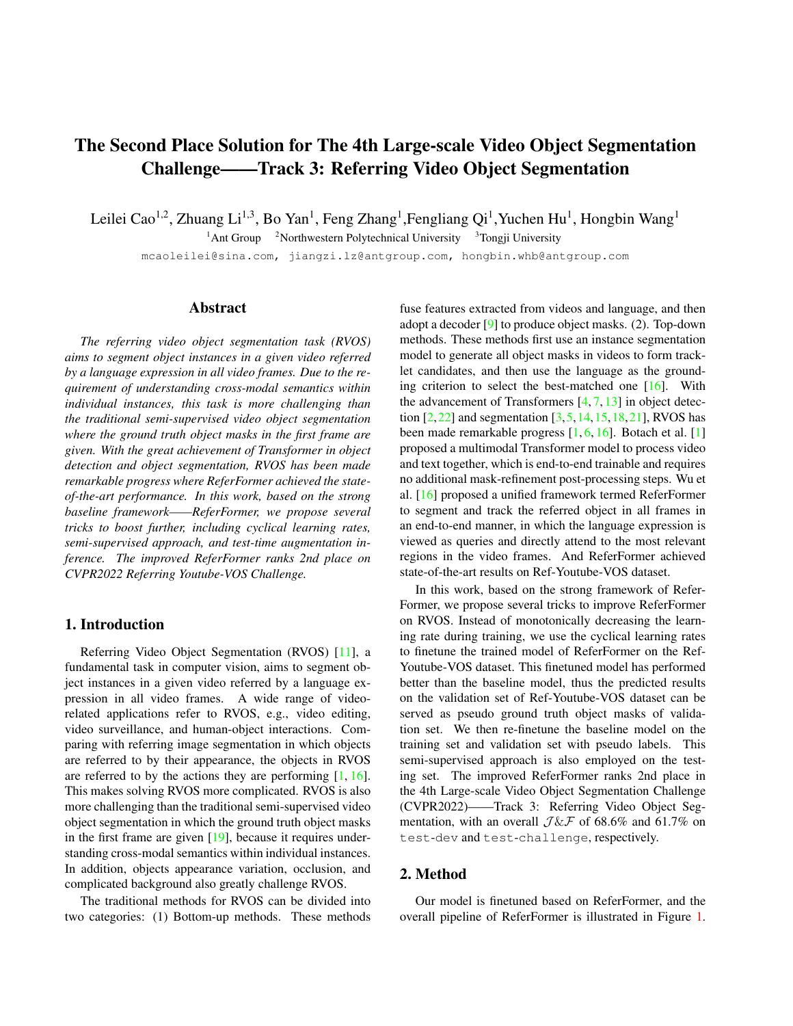# <span id="page-0-0"></span>The Second Place Solution for The 4th Large-scale Video Object Segmentation Challenge——Track 3: Referring Video Object Segmentation

Leilei Cao<sup>1,2</sup>, Zhuang Li<sup>1,3</sup>, Bo Yan<sup>1</sup>, Feng Zhang<sup>1</sup>, Fengliang Qi<sup>1</sup>, Yuchen Hu<sup>1</sup>, Hongbin Wang<sup>1</sup>

<sup>1</sup>Ant Group <sup>2</sup>Northwestern Polytechnical University <sup>3</sup>Tongji University

mcaoleilei@sina.com, jiangzi.lz@antgroup.com, hongbin.whb@antgroup.com

#### Abstract

*The referring video object segmentation task (RVOS) aims to segment object instances in a given video referred by a language expression in all video frames. Due to the requirement of understanding cross-modal semantics within individual instances, this task is more challenging than the traditional semi-supervised video object segmentation where the ground truth object masks in the first frame are given. With the great achievement of Transformer in object detection and object segmentation, RVOS has been made remarkable progress where ReferFormer achieved the stateof-the-art performance. In this work, based on the strong baseline framework——ReferFormer, we propose several tricks to boost further, including cyclical learning rates, semi-supervised approach, and test-time augmentation inference. The improved ReferFormer ranks 2nd place on CVPR2022 Referring Youtube-VOS Challenge.*

## 1. Introduction

Referring Video Object Segmentation (RVOS) [\[11\]](#page-3-0), a fundamental task in computer vision, aims to segment object instances in a given video referred by a language expression in all video frames. A wide range of videorelated applications refer to RVOS, e.g., video editing, video surveillance, and human-object interactions. Comparing with referring image segmentation in which objects are referred to by their appearance, the objects in RVOS are referred to by the actions they are performing  $[1, 16]$  $[1, 16]$  $[1, 16]$ . This makes solving RVOS more complicated. RVOS is also more challenging than the traditional semi-supervised video object segmentation in which the ground truth object masks in the first frame are given [\[19\]](#page-3-2), because it requires understanding cross-modal semantics within individual instances. In addition, objects appearance variation, occlusion, and complicated background also greatly challenge RVOS.

The traditional methods for RVOS can be divided into two categories: (1) Bottom-up methods. These methods fuse features extracted from videos and language, and then adopt a decoder [\[9\]](#page-3-3) to produce object masks. (2). Top-down methods. These methods first use an instance segmentation model to generate all object masks in videos to form tracklet candidates, and then use the language as the grounding criterion to select the best-matched one [\[16\]](#page-3-1). With the advancement of Transformers [\[4,](#page-3-4) [7,](#page-3-5) [13\]](#page-3-6) in object detection  $[2,22]$  $[2,22]$  and segmentation  $[3,5,14,15,18,21]$  $[3,5,14,15,18,21]$  $[3,5,14,15,18,21]$  $[3,5,14,15,18,21]$  $[3,5,14,15,18,21]$  $[3,5,14,15,18,21]$ , RVOS has been made remarkable progress [\[1,](#page-2-0) [6,](#page-3-15) [16\]](#page-3-1). Botach et al. [\[1\]](#page-2-0) proposed a multimodal Transformer model to process video and text together, which is end-to-end trainable and requires no additional mask-refinement post-processing steps. Wu et al. [\[16\]](#page-3-1) proposed a unified framework termed ReferFormer to segment and track the referred object in all frames in an end-to-end manner, in which the language expression is viewed as queries and directly attend to the most relevant regions in the video frames. And ReferFormer achieved state-of-the-art results on Ref-Youtube-VOS dataset.

In this work, based on the strong framework of Refer-Former, we propose several tricks to improve ReferFormer on RVOS. Instead of monotonically decreasing the learning rate during training, we use the cyclical learning rates to finetune the trained model of ReferFormer on the Ref-Youtube-VOS dataset. This finetuned model has performed better than the baseline model, thus the predicted results on the validation set of Ref-Youtube-VOS dataset can be served as pseudo ground truth object masks of validation set. We then re-finetune the baseline model on the training set and validation set with pseudo labels. This semi-supervised approach is also employed on the testing set. The improved ReferFormer ranks 2nd place in the 4th Large-scale Video Object Segmentation Challenge (CVPR2022)——Track 3: Referring Video Object Segmentation, with an overall  $J \& F$  of 68.6% and 61.7% on test-dev and test-challenge, respectively.

# 2. Method

Our model is finetuned based on ReferFormer, and the overall pipeline of ReferFormer is illustrated in Figure [1.](#page-1-0)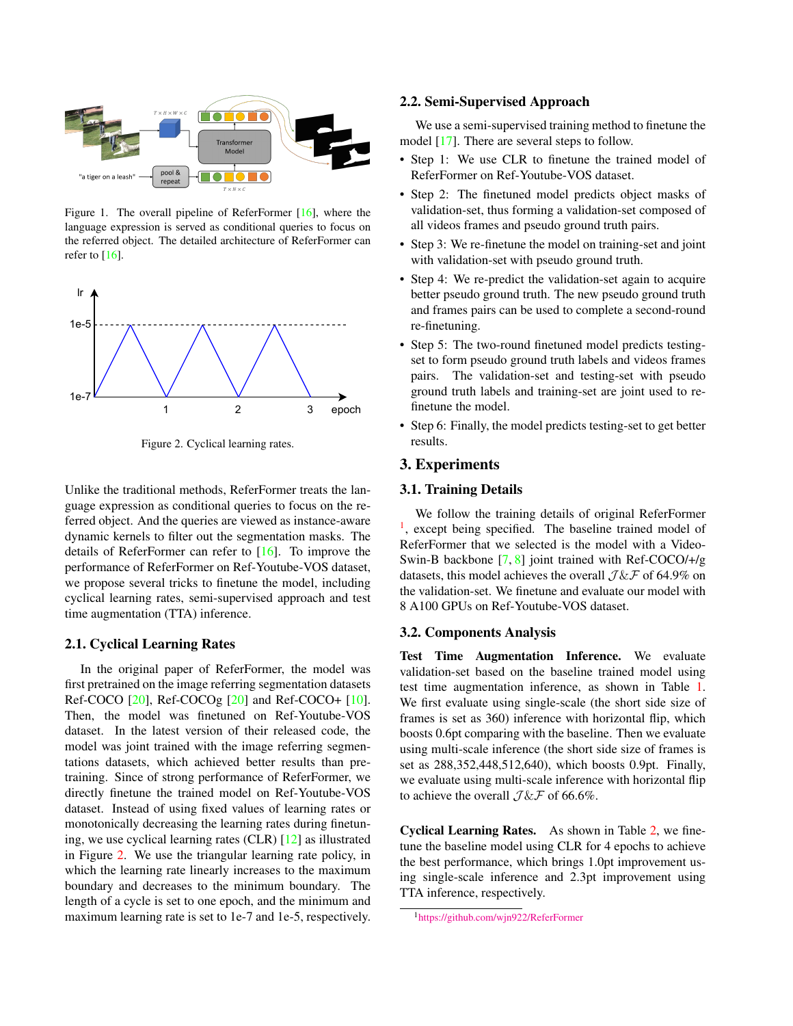<span id="page-1-3"></span><span id="page-1-0"></span>

Figure 1. The overall pipeline of ReferFormer [\[16\]](#page-3-1), where the language expression is served as conditional queries to focus on the referred object. The detailed architecture of ReferFormer can refer to [\[16\]](#page-3-1).

<span id="page-1-1"></span>

Figure 2. Cyclical learning rates.

Unlike the traditional methods, ReferFormer treats the language expression as conditional queries to focus on the referred object. And the queries are viewed as instance-aware dynamic kernels to filter out the segmentation masks. The details of ReferFormer can refer to [\[16\]](#page-3-1). To improve the performance of ReferFormer on Ref-Youtube-VOS dataset, we propose several tricks to finetune the model, including cyclical learning rates, semi-supervised approach and test time augmentation (TTA) inference.

# 2.1. Cyclical Learning Rates

In the original paper of ReferFormer, the model was first pretrained on the image referring segmentation datasets Ref-COCO  $[20]$ , Ref-COCOg  $[20]$  and Ref-COCO+  $[10]$ . Then, the model was finetuned on Ref-Youtube-VOS dataset. In the latest version of their released code, the model was joint trained with the image referring segmentations datasets, which achieved better results than pretraining. Since of strong performance of ReferFormer, we directly finetune the trained model on Ref-Youtube-VOS dataset. Instead of using fixed values of learning rates or monotonically decreasing the learning rates during finetuning, we use cyclical learning rates (CLR) [\[12\]](#page-3-18) as illustrated in Figure [2.](#page-1-1) We use the triangular learning rate policy, in which the learning rate linearly increases to the maximum boundary and decreases to the minimum boundary. The length of a cycle is set to one epoch, and the minimum and maximum learning rate is set to 1e-7 and 1e-5, respectively.

#### 2.2. Semi-Supervised Approach

We use a semi-supervised training method to finetune the model [\[17\]](#page-3-19). There are several steps to follow.

- Step 1: We use CLR to finetune the trained model of ReferFormer on Ref-Youtube-VOS dataset.
- Step 2: The finetuned model predicts object masks of validation-set, thus forming a validation-set composed of all videos frames and pseudo ground truth pairs.
- Step 3: We re-finetune the model on training-set and joint with validation-set with pseudo ground truth.
- Step 4: We re-predict the validation-set again to acquire better pseudo ground truth. The new pseudo ground truth and frames pairs can be used to complete a second-round re-finetuning.
- Step 5: The two-round finetuned model predicts testingset to form pseudo ground truth labels and videos frames pairs. The validation-set and testing-set with pseudo ground truth labels and training-set are joint used to refinetune the model.
- Step 6: Finally, the model predicts testing-set to get better results.

#### 3. Experiments

#### 3.1. Training Details

We follow the training details of original ReferFormer <sup>[1](#page-1-2)</sup>, except being specified. The baseline trained model of ReferFormer that we selected is the model with a Video-Swin-B backbone [\[7,](#page-3-5) [8\]](#page-3-20) joint trained with Ref-COCO/+/g datasets, this model achieves the overall  $J \& F$  of 64.9% on the validation-set. We finetune and evaluate our model with 8 A100 GPUs on Ref-Youtube-VOS dataset.

### 3.2. Components Analysis

Test Time Augmentation Inference. We evaluate validation-set based on the baseline trained model using test time augmentation inference, as shown in Table [1.](#page-2-1) We first evaluate using single-scale (the short side size of frames is set as 360) inference with horizontal flip, which boosts 0.6pt comparing with the baseline. Then we evaluate using multi-scale inference (the short side size of frames is set as 288,352,448,512,640), which boosts 0.9pt. Finally, we evaluate using multi-scale inference with horizontal flip to achieve the overall  $J \& F$  of 66.6%.

Cyclical Learning Rates. As shown in Table [2,](#page-2-2) we finetune the baseline model using CLR for 4 epochs to achieve the best performance, which brings 1.0pt improvement using single-scale inference and 2.3pt improvement using TTA inference, respectively.

<span id="page-1-2"></span><sup>1</sup>https://github.com/wjn922/ReferFormer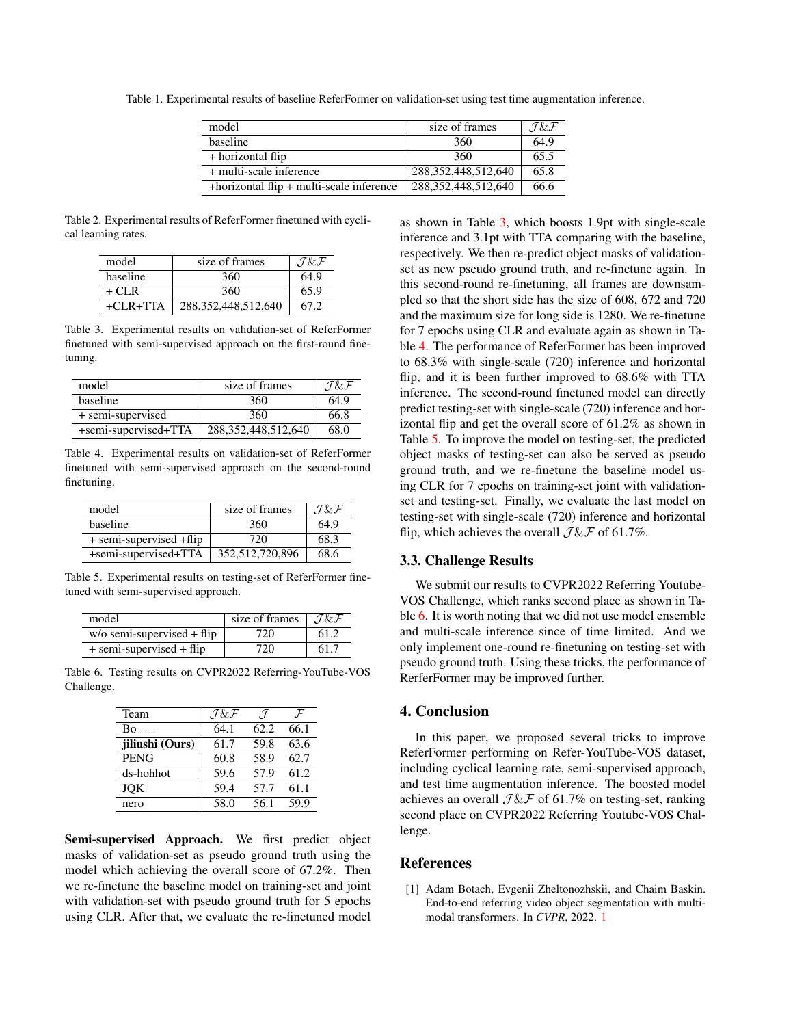| model                                    | size of frames          | $J \& F$ |
|------------------------------------------|-------------------------|----------|
| baseline                                 | 360                     | 64.9     |
| + horizontal flip                        | 360                     | 65.5     |
| + multi-scale inference                  | 288, 352, 448, 512, 640 | 65.8     |
| +horizontal flip + multi-scale inference | 288, 352, 448, 512, 640 | 66.6     |

<span id="page-2-1"></span>Table 1. Experimental results of baseline ReferFormer on validation-set using test time augmentation inference.

<span id="page-2-2"></span>Table 2. Experimental results of ReferFormer finetuned with cyclical learning rates.

| model      | size of frames          | $J\&F$ |
|------------|-------------------------|--------|
| baseline   | 360                     | 64.9   |
| $+ CLR$    | 360                     | 65.9   |
| $+CLR+TTA$ | 288, 352, 448, 512, 640 | 67.2   |

<span id="page-2-3"></span>Table 3. Experimental results on validation-set of ReferFormer finetuned with semi-supervised approach on the first-round finetuning.

| model                | size of frames          | $J \& F$ |
|----------------------|-------------------------|----------|
| <b>baseline</b>      | 360                     | 64.9     |
| + semi-supervised    | 360                     | 66.8     |
| +semi-supervised+TTA | 288, 352, 448, 512, 640 | 68.0     |

<span id="page-2-4"></span>Table 4. Experimental results on validation-set of ReferFormer finetuned with semi-supervised approach on the second-round finetuning.

| model                    | size of frames  | J & F |
|--------------------------|-----------------|-------|
| baseline                 | 360             | 64.9  |
| + semi-supervised + flip | 720             | 68.3  |
| +semi-supervised+TTA     | 352,512,720,896 | 68.6  |

<span id="page-2-5"></span>Table 5. Experimental results on testing-set of ReferFormer finetuned with semi-supervised approach.

| model                         | size of frames | $J \& F$ |
|-------------------------------|----------------|----------|
| $w$ /o semi-supervised + flip | 720            | 61.2     |
| $+$ semi-supervised $+$ flip  | 720            | 61.7     |

<span id="page-2-6"></span>Table 6. Testing results on CVPR2022 Referring-YouTube-VOS Challenge.

| Team            | $J \& F$ | .7   | $\mathcal{F}$ |
|-----------------|----------|------|---------------|
| Bo -            | 64.1     | 62.2 | 66.1          |
| jiliushi (Ours) | 61.7     | 59.8 | 63.6          |
| <b>PENG</b>     | 60.8     | 58.9 | 62.7          |
| ds-hohhot       | 59.6     | 57.9 | 61.2          |
| <b>JOK</b>      | 59.4     | 57.7 | 61.1          |
| nero            | 58.0     | 56.1 | 59.9          |

Semi-supervised Approach. We first predict object masks of validation-set as pseudo ground truth using the model which achieving the overall score of 67.2%. Then we re-finetune the baseline model on training-set and joint with validation-set with pseudo ground truth for 5 epochs using CLR. After that, we evaluate the re-finetuned model as shown in Table [3,](#page-2-3) which boosts 1.9pt with single-scale inference and 3.1pt with TTA comparing with the baseline, respectively. We then re-predict object masks of validationset as new pseudo ground truth, and re-finetune again. In this second-round re-finetuning, all frames are downsampled so that the short side has the size of 608, 672 and 720 and the maximum size for long side is 1280. We re-finetune for 7 epochs using CLR and evaluate again as shown in Table [4.](#page-2-4) The performance of ReferFormer has been improved to 68.3% with single-scale (720) inference and horizontal flip, and it is been further improved to 68.6% with TTA inference. The second-round finetuned model can directly predict testing-set with single-scale (720) inference and horizontal flip and get the overall score of 61.2% as shown in Table [5.](#page-2-5) To improve the model on testing-set, the predicted object masks of testing-set can also be served as pseudo ground truth, and we re-finetune the baseline model using CLR for 7 epochs on training-set joint with validationset and testing-set. Finally, we evaluate the last model on testing-set with single-scale (720) inference and horizontal flip, which achieves the overall  $J \& F$  of 61.7%.

#### 3.3. Challenge Results

We submit our results to CVPR2022 Referring Youtube-VOS Challenge, which ranks second place as shown in Table [6.](#page-2-6) It is worth noting that we did not use model ensemble and multi-scale inference since of time limited. And we only implement one-round re-finetuning on testing-set with pseudo ground truth. Using these tricks, the performance of RerferFormer may be improved further.

# 4. Conclusion

In this paper, we proposed several tricks to improve ReferFormer performing on Refer-YouTube-VOS dataset, including cyclical learning rate, semi-supervised approach, and test time augmentation inference. The boosted model achieves an overall  $J \& F$  of 61.7% on testing-set, ranking second place on CVPR2022 Referring Youtube-VOS Challenge.

## References

<span id="page-2-0"></span>[1] Adam Botach, Evgenii Zheltonozhskii, and Chaim Baskin. End-to-end referring video object segmentation with multimodal transformers. In *CVPR*, 2022. [1](#page-0-0)